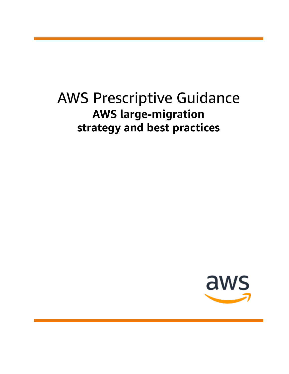# AWS Prescriptive Guidance **AWS large-migration strategy and best practices**

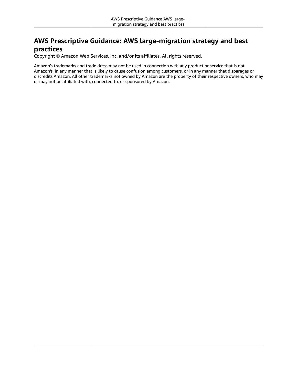### **AWS Prescriptive Guidance: AWS large-migration strategy and best practices**

Copyright © Amazon Web Services, Inc. and/or its affiliates. All rights reserved.

Amazon's trademarks and trade dress may not be used in connection with any product or service that is not Amazon's, in any manner that is likely to cause confusion among customers, or in any manner that disparages or discredits Amazon. All other trademarks not owned by Amazon are the property of their respective owners, who may or may not be affiliated with, connected to, or sponsored by Amazon.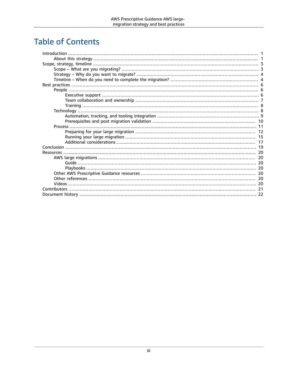## **Table of Contents**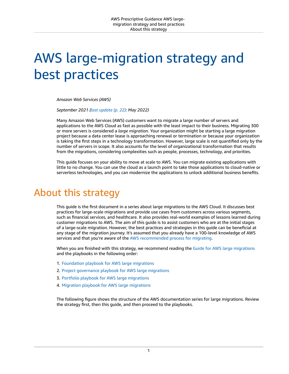# <span id="page-3-0"></span>AWS large-migration strategy and best practices

*Amazon Web Services (AWS)*

*September 2021 ([last update](#page-24-0) (p. [22\):](#page-24-0) May 2022)*

Many Amazon Web Services (AWS) customers want to migrate a large number of servers and applications to the AWS Cloud as fast as possible with the least impact to their business. Migrating 300 or more servers is considered a *large migration*. Your organization might be starting a large migration project because a data center lease is approaching renewal or termination or because your organization is taking the first steps in a technology transformation. However, large scale is not quantified only by the number of servers in scope. It also accounts for the level of organizational transformation that results from the migrations, considering complexities such as people, processes, technology, and priorities.

This guide focuses on your ability to move at scale to AWS. You can migrate existing applications with little to no change. You can use the cloud as a launch point to take those applications to cloud-native or serverless technologies, and you can modernize the applications to unlock additional business benefits.

## <span id="page-3-1"></span>About this strategy

This guide is the first document in a series about large migrations to the AWS Cloud. It discusses best practices for large-scale migrations and provide use cases from customers across various segments, such as financial services, and healthcare. It also provides real-world examples of lessons learned during customer migrations to AWS. The aim of this guide is to assist customers who are at the initial stages of a large-scale migration. However, the best practices and strategies in this guide can be beneficial at any stage of the migration journey. It's assumed that you already have a 100-level knowledge of AWS services and that you're aware of the AWS [recommended](http://aws.amazon.com/cloud-migration/how-to-migrate/) process for migrating.

When you are finished with this strategy, we recommend reading the Guide for AWS large [migrations](https://docs.aws.amazon.com/prescriptive-guidance/latest/large-migration-guide/welcome.html) and the playbooks in the following order:

- 1. [Foundation](https://docs.aws.amazon.com/prescriptive-guidance/latest/large-migration-foundation-playbook/welcome.html) playbook for AWS large migrations
- 2. Project [governance](https://docs.aws.amazon.com/prescriptive-guidance/latest/large-migration-governance-playbook/welcome.html) playbook for AWS large migrations
- 3. Portfolio playbook for AWS large [migrations](https://docs.aws.amazon.com/prescriptive-guidance/latest/large-migration-portfolio-playbook/welcome.html)
- 4. Migration playbook for AWS large [migrations](https://docs.aws.amazon.com/prescriptive-guidance/latest/large-migration-migration-playbook/welcome.html)

The following figure shows the structure of the AWS documentation series for large migrations. Review the strategy first, then this guide, and then proceed to the playbooks.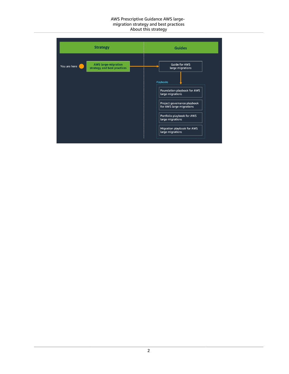#### AWS Prescriptive Guidance AWS largemigration strategy and best practices About this strategy

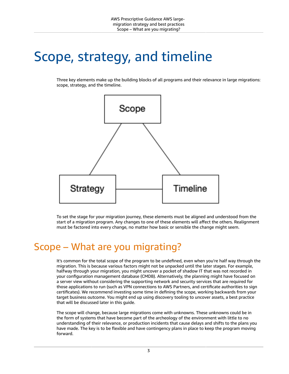# <span id="page-5-0"></span>Scope, strategy, and timeline

Three key elements make up the building blocks of all programs and their relevance in large migrations: scope, strategy, and the timeline.



To set the stage for your migration journey, these elements must be aligned and understood from the start of a migration program. Any changes to one of these elements will affect the others. Realignment must be factored into every change, no matter how basic or sensible the change might seem.

## <span id="page-5-1"></span>Scope – What are you migrating?

It's common for the total scope of the program to be undefined, even when you're half way through the migration. This is because various factors might not be unpacked until the later stages. For example, halfway through your migration, you might uncover a pocket of shadow IT that was not recorded in your configuration management database (CMDB). Alternatively, the planning might have focused on a server view without considering the supporting network and security services that are required for those applications to run (such as VPN connections to AWS Partners, and certificate authorities to sign certificates). We recommend investing some time in defining the scope, working backwards from your target business outcome. You might end up using discovery tooling to uncover assets, a best practice that will be discussed later in this guide.

The scope will change, because large migrations come with unknowns. These unknowns could be in the form of systems that have become part of the archeology of the environment with little to no understanding of their relevance, or production incidents that cause delays and shifts to the plans you have made. The key is to be flexible and have contingency plans in place to keep the program moving forward.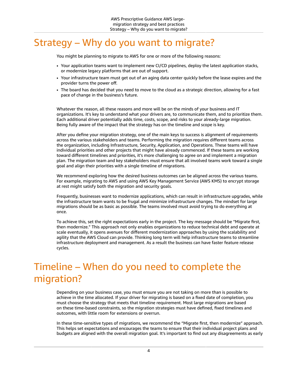## <span id="page-6-0"></span>Strategy – Why do you want to migrate?

You might be planning to migrate to AWS for one or more of the following reasons:

- Your application teams want to implement new CI/CD pipelines, deploy the latest application stacks, or modernize legacy platforms that are out of support.
- Your infrastructure team must get out of an aging data center quickly before the lease expires and the provider turns the power off.
- The board has decided that you need to move to the cloud as a strategic direction, allowing for a fast pace of change in the business's future.

Whatever the reason, all these reasons and more will be on the minds of your business and IT organizations. It's key to understand what your drivers are, to communicate them, and to prioritize them. Each additional driver potentially adds time, costs, scope, and risks to your already-large migration. Being fully aware of the impact that the strategy has on the timeline and scope is key.

After you define your migration strategy, one of the main keys to success is alignment of requirements across the various stakeholders and teams. Performing the migration requires different teams across the organization, including Infrastructure, Security, Application, and Operations. These teams will have individual priorities and other projects that might have already commenced. If these teams are working toward different timelines and priorities, it's more challenging to agree on and implement a migration plan. The migration team and key stakeholders must ensure that all involved teams work toward a single goal and align their priorities with a single timeline of migrations.

We recommend exploring how the desired business outcomes can be aligned across the various teams. For example, migrating to AWS and using AWS Key Management Service (AWS KMS) to encrypt storage at rest might satisfy both the migration and security goals.

Frequently, businesses want to modernize applications, which can result in infrastructure upgrades, while the infrastructure team wants to be frugal and minimize infrastructure changes. The mindset for large migrations should be as basic as possible. The teams involved must avoid trying to do everything at once.

To achieve this, set the right expectations early in the project. The key message should be "Migrate first, then modernize." This approach not only enables organizations to reduce technical debt and operate at scale eventually, it opens avenues for different modernization approaches by using the scalability and agility that the AWS Cloud can provide. Thinking long term will help infrastructure teams to streamline infrastructure deployment and management. As a result the business can have faster feature release cycles.

## <span id="page-6-1"></span>Timeline – When do you need to complete the migration?

Depending on your business case, you must ensure you are not taking on more than is possible to achieve in the time allocated. If your driver for migrating is based on a fixed date of completion, you must choose the strategy that meets that timeline requirement. Most large migrations are based on these time-based constraints, so the migration strategies must have defined, fixed timelines and outcomes, with little room for extensions or overrun.

In these time-sensitive types of migrations, we recommend the "Migrate first, then modernize" approach. This helps set expectations and encourages the teams to ensure that their individual project plans and budgets are aligned with the overall migration goal. It's important to find out any disagreements as early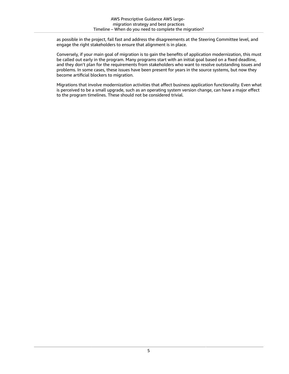as possible in the project, fail fast and address the disagreements at the Steering Committee level, and engage the right stakeholders to ensure that alignment is in place.

Conversely, if your main goal of migration is to gain the benefits of application modernization, this must be called out early in the program. Many programs start with an initial goal based on a fixed deadline, and they don't plan for the requirements from stakeholders who want to resolve outstanding issues and problems. In some cases, these issues have been present for years in the source systems, but now they become artificial blockers to migration.

Migrations that involve modernization activities that affect business application functionality. Even what is perceived to be a small upgrade, such as an operating system version change, can have a major effect to the program timelines. These should not be considered trivial.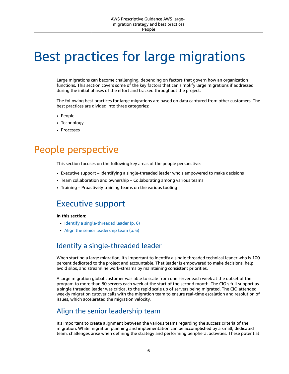# <span id="page-8-0"></span>Best practices for large migrations

Large migrations can become challenging, depending on factors that govern how an organization functions. This section covers some of the key factors that can simplify large migrations if addressed during the initial phases of the effort and tracked throughout the project.

The following best practices for large migrations are based on data captured from other customers. The best practices are divided into three categories:

- People
- Technology
- Processes

## <span id="page-8-1"></span>People perspective

This section focuses on the following key areas of the people perspective:

- Executive support Identifying a single-threaded leader who's empowered to make decisions
- Team collaboration and ownership Collaborating among various teams
- Training Proactively training teams on the various tooling

## <span id="page-8-2"></span>Executive support

#### **In this section:**

- Identify a [single-threaded](#page-8-3) leader (p. 6)
- [Align the senior leadership team \(p. 6\)](#page-8-4)

## <span id="page-8-3"></span>Identify a single-threaded leader

When starting a large migration, it's important to identify a single threaded technical leader who is 100 percent dedicated to the project and accountable. That leader is empowered to make decisions, help avoid silos, and streamline work-streams by maintaining consistent priorities.

A large migration global customer was able to scale from one server each week at the outset of the program to more than 80 servers each week at the start of the second month. The CIO's full support as a single threaded leader was critical to the rapid scale up of servers being migrated. The CIO attended weekly migration cutover calls with the migration team to ensure real-time escalation and resolution of issues, which accelerated the migration velocity.

### <span id="page-8-4"></span>Align the senior leadership team

It's important to create alignment between the various teams regarding the success criteria of the migration. While migration planning and implementation can be accomplished by a small, dedicated team, challenges arise when defining the strategy and performing peripheral activities. These potential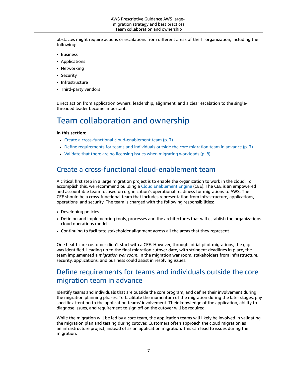obstacles might require actions or escalations from different areas of the IT organization, including the following:

- Business
- Applications
- Networking
- Security
- Infrastructure
- Third-party vendors

Direct action from application owners, leadership, alignment, and a clear escalation to the singlethreaded leader become important.

## <span id="page-9-0"></span>Team collaboration and ownership

#### **In this section:**

- Create a cross-functional [cloud-enablement](#page-9-1) team (p. 7)
- Define requirements for teams and individuals outside the core migration team in [advance \(p. 7\)](#page-9-2)
- Validate that there are no licensing issues when migrating [workloads \(p. 8\)](#page-10-2)

## <span id="page-9-1"></span>Create a cross-functional cloud-enablement team

A critical first step in a large migration project is to enable the organization to work in the cloud. To accomplish this, we recommend building a [Cloud Enablement Engine](https://d1.awsstatic.com/whitepapers/cloud-enablement-engine-practical-guide.pdf) (CEE). The CEE is an empowered and accountable team focused on organization's operational readiness for migrations to AWS. The CEE should be a cross-functional team that includes representation from infrastructure, applications, operations, and security. The team is charged with the following responsibilities:

- Developing policies
- Defining and implementing tools, processes and the architectures that will establish the organizations cloud operations model
- Continuing to facilitate stakeholder alignment across all the areas that they represent

One healthcare customer didn't start with a CEE. However, through initial pilot migrations, the gap was identified. Leading up to the final migration cutover date, with stringent deadlines in place, the team implemented a *migration war room*. In the migration war room, stakeholders from infrastructure, security, applications, and business could assist in resolving issues.

## <span id="page-9-2"></span>Define requirements for teams and individuals outside the core migration team in advance

Identify teams and individuals that are outside the core program, and define their involvement during the migration planning phases. To facilitate the momentum of the migration during the later stages, pay specific attention to the application teams' involvement. Their knowledge of the application, ability to diagnose issues, and requirement to sign off on the cutover will be required.

While the migration will be led by a core team, the application teams will likely be involved in validating the migration plan and testing during cutover. Customers often approach the cloud migration as an infrastructure project, instead of as an application migration. This can lead to issues during the migration.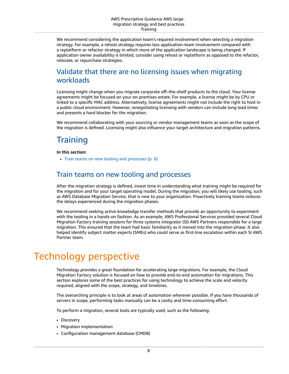We recommend considering the application team's required involvement when selecting a migration strategy. For example, a rehost strategy requires less application-team involvement compared with a replatform or refactor strategy in which more of the application landscape is being changed. If application owner availability is limited, consider using rehost or replatform as opposed to the refactor, relocate, or repurchase strategies.

### <span id="page-10-2"></span>Validate that there are no licensing issues when migrating workloads

Licensing might change when you migrate corporate off–the-shelf products to the cloud. Your license agreements might be focused on your on-premises estate. For example, a license might be by CPU or linked to a specific MAC address. Alternatively, license agreements might not include the right to host in a public cloud environment. However, renegotiating licensing with vendors can include long lead times and presents a hard blocker for the migration.

We recommend collaborating with your sourcing or vendor management teams as soon as the scope of the migration is defined. Licensing might also influence your target architecture and migration patterns.

## <span id="page-10-0"></span>**Training**

#### **In this section:**

• Train teams on new tooling and [processes \(p. 8\)](#page-10-3)

### <span id="page-10-3"></span>Train teams on new tooling and processes

After the migration strategy is defined, invest time in understanding what training might be required for the migration and for your target operating model. During the migration, you will likely use tooling, such as AWS Database Migration Service, that is new to your organization. Proactively training teams reduces the delays experienced during the migration phases.

We recommend seeking active knowledge transfer methods that provide an opportunity to experiment with the tooling in a hands-on fashion. As an example, AWS Professional Services provided several Cloud Migration Factory training sessions for three systems integrator (SI) AWS Partners responsible for a large migration. This ensured that the team had basic familiarity as it moved into the migration phase. It also helped identify subject matter experts (SMEs) who could serve as first-line escalation within each SI AWS Partner team.

## <span id="page-10-1"></span>Technology perspective

Technology provides a great foundation for accelerating large migrations. For example, the Cloud Migration Factory solution is focused on how to provide end-to-end automation for migrations. This section explores some of the best practices for using technology to achieve the scale and velocity required, aligned with the scope, strategy, and timelines.

The overarching principle is to look at areas of automation wherever possible. If you have thousands of servers in scope, performing tasks manually can be a costly and time-consuming effort.

To perform a migration, several tools are typically used, such as the following:

- Discovery
- Migration implementation
- Configuration management database (CMDB)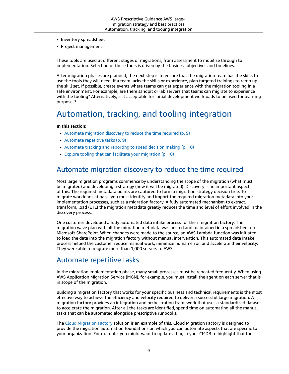- Inventory spreadsheet
- Project management

These tools are used at different stages of migrations, from assessment to mobilize through to implementation. Selection of these tools is driven by the business objectives and timelines.

After migration phases are planned, the next step is to ensure that the migration team has the skills to use the tools they will need. If a team lacks the skills or experience, plan targeted trainings to ramp up the skill set. If possible, create events where teams can get experience with the migration tooling in a safe environment. For example, are there sandpit or lab servers that teams can migrate to experience with the tooling? Alternatively, is it acceptable for initial development workloads to be used for learning purposes?

## <span id="page-11-0"></span>Automation, tracking, and tooling integration

#### **In this section:**

- Automate migration discovery to reduce the time [required \(p. 9\)](#page-11-1)
- Automate repetitive [tasks \(p. 9\)](#page-11-2)
- Automate tracking and reporting to speed decision [making \(p. 10\)](#page-12-1)
- Explore tooling that can facilitate your [migration \(p. 10\)](#page-12-2)

#### <span id="page-11-1"></span>Automate migration discovery to reduce the time required

Most large migration programs commence by understanding the scope of the migration (what must be migrated) and developing a strategy (how it will be migrated). Discovery is an important aspect of this. The required metadata points are captured to form a migration strategy decision tree. To migrate workloads at pace, you must identify and import the required migration metadata into your implementation processes, such as a migration factory. A fully automated mechanism to extract, transform, load (ETL) the migration metadata greatly reduces the time and level of effort involved in the discovery process.

One customer developed a fully automated data intake process for their migration factory. The migration wave plan with all the migration metadata was hosted and maintained in a spreadsheet on Microsoft SharePoint. When changes were made to the source, an AWS Lambda function was initiated to load the data into the migration factory without manual intervention. This automated data intake process helped the customer reduce manual work, minimize human error, and accelerate their velocity. They were able to migrate more than 1,000 servers to AWS.

#### <span id="page-11-2"></span>Automate repetitive tasks

In the migration implementation phase, many small processes must be repeated frequently. When using AWS Application Migration Service (MGN), for example, you must install the agent on each server that is in scope of the migration.

Building a migration factory that works for your specific business and technical requirements is the most effective way to achieve the efficiency and velocity required to deliver a successful large migration. A migration factory provides an integration and orchestration framework that uses a standardized dataset to accelerate the migration. After all the tasks are identified, spend time on automating all the manual tasks that can be automated alongside prescriptive runbooks.

The Cloud [Migration](https://docs.aws.amazon.com/prescriptive-guidance/latest/migration-factory-cloudendure/welcome.html) Factory solution is an example of this. Cloud Migration Factory is designed to provide the migration automation foundations on which you can automate aspects that are specific to your organization. For example, you might want to update a flag in your CMDB to highlight that the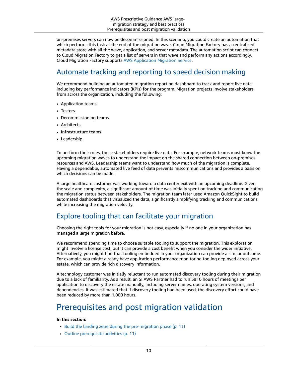on-premises servers can now be decommissioned. In this scenario, you could create an automation that which performs this task at the end of the migration wave. Cloud Migration Factory has a centralized metadata store with all the wave, application, and server metadata. The automation script can connect to Cloud Migration Factory to get a list of servers in that wave and perform any actions accordingly. Cloud Migration Factory supports AWS [Application](https://docs.aws.amazon.com/mgn/latest/ug/what-is-application-migration-service.html) Migration Service.

## <span id="page-12-1"></span>Automate tracking and reporting to speed decision making

We recommend building an automated migration reporting dashboard to track and report live data, including key performance indicators (KPIs) for the program. Migration projects involve stakeholders from across the organization, including the following:

- Application teams
- Testers
- Decommissioning teams
- Architects
- Infrastructure teams
- Leadership

To perform their roles, these stakeholders require live data. For example, network teams must know the upcoming migration waves to understand the impact on the shared connection between on-premises resources and AWS. Leadership teams want to understand how much of the migration is complete. Having a dependable, automated live feed of data prevents miscommunications and provides a basis on which decisions can be made.

A large healthcare customer was working toward a data center exit with an upcoming deadline. Given the scale and complexity, a significant amount of time was initially spent on tracking and communicating the migration status between stakeholders. The migration team later used Amazon QuickSight to build automated dashboards that visualized the data, significantly simplifying tracking and communications while increasing the migration velocity.

### <span id="page-12-2"></span>Explore tooling that can facilitate your migration

Choosing the right tools for your migration is not easy, especially if no one in your organization has managed a large migration before.

We recommend spending time to choose suitable tooling to support the migration. This exploration might involve a license cost, but it can provide a cost benefit when you consider the wider initiative. Alternatively, you might find that tooling embedded in your organization can provide a similar outcome. For example, you might already have application performance monitoring tooling deployed across your estate, which can provide rich discovery information.

A technology customer was initially reluctant to run automated discovery tooling during their migration due to a lack of familiarity. As a result, an SI AWS Partner had to run 5#10 hours of meetings per application to discovery the estate manually, including server names, operating system versions, and dependencies. It was estimated that if discovery tooling had been used, the discovery effort could have been reduced by more than 1,000 hours.

## <span id="page-12-0"></span>Prerequisites and post migration validation

#### **In this section:**

- Build the landing zone during the [pre-migration](#page-13-1) phase (p. 11)
- Outline prerequisite [activities \(p. 11\)](#page-13-2)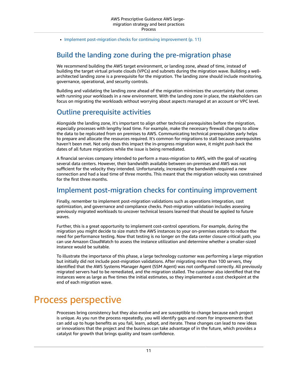• Implement post-migration checks for continuing [improvement \(p. 11\)](#page-13-3)

## <span id="page-13-1"></span>Build the landing zone during the pre-migration phase

We recommend building the AWS target environment, or landing zone, ahead of time, instead of building the target virtual private clouds (VPCs) and subnets during the migration wave. Building a wellarchitected landing zone is a prerequisite for the migration. The landing zone should include monitoring, governance, operational, and security controls.

Building and validating the landing zone ahead of the migration minimizes the uncertainty that comes with running your workloads in a new environment. With the landing zone in place, the stakeholders can focus on migrating the workloads without worrying about aspects managed at an account or VPC level.

#### <span id="page-13-2"></span>Outline prerequisite activities

Alongside the landing zone, it's important to align other technical prerequisites before the migration, especially processes with lengthy lead time. For example, make the necessary firewall changes to allow the data to be replicated from on premises to AWS. Communicating technical prerequisites early helps to prepare and allocate the resources required. It's common for migrations to stall because prerequisites haven't been met. Not only does this impact the in-progress migration wave, it might push back the dates of all future migrations while the issue is being remediated.

A financial services company intended to perform a mass-migration to AWS, with the goal of vacating several data centers. However, their bandwidth available between on-premises and AWS was not sufficient for the velocity they intended. Unfortunately, increasing the bandwidth required a new connection and had a lead time of three months. This meant that the migration velocity was constrained for the first three months.

#### <span id="page-13-3"></span>Implement post-migration checks for continuing improvement

Finally, remember to implement post-migration validations such as operations integration, cost optimization, and governance and compliance checks. Post-migration validation includes assessing previously migrated workloads to uncover technical lessons learned that should be applied to future waves.

Further, this is a great opportunity to implement cost-control operations. For example, during the migration you might decide to size match the AWS instances to your on-premises estate to reduce the need for performance testing. Now that testing is no longer on the data center closure critical path, you can use Amazon CloudWatch to assess the instance utilization and determine whether a smaller-sized instance would be suitable.

To illustrate the importance of this phase, a large technology customer was performing a large migration but initially did not include post-migration validations. After migrating more than 100 servers, they identified that the AWS Systems Manager Agent (SSM Agent) was not configured correctly. All previously migrated servers had to be remediated, and the migration stalled. The customer also identified that the instances were as large as five times the initial estimates, so they implemented a cost checkpoint at the end of each migration wave.

## <span id="page-13-0"></span>Process perspective

Processes bring consistency but they also evolve and are susceptible to change because each project is unique. As you run the process repeatedly, you will identify gaps and room for improvements that can add up to huge benefits as you fail, learn, adopt, and iterate. These changes can lead to new ideas or innovations that the project and the business can take advantage of in the future, which provides a catalyst for growth that brings quality and team confidence.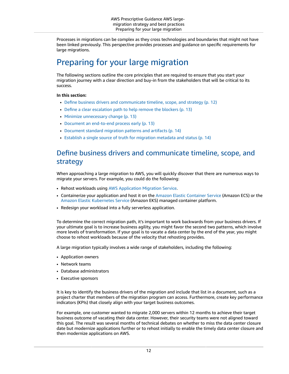Processes in migrations can be complex as they cross technologies and boundaries that might not have been linked previously. This perspective provides processes and guidance on specific requirements for large migrations.

## <span id="page-14-0"></span>Preparing for your large migration

The following sections outline the core principles that are required to ensure that you start your migration journey with a clear direction and buy-in from the stakeholders that will be critical to its success.

#### **In this section:**

- Define business drivers and communicate timeline, scope, and [strategy \(p. 12\)](#page-14-1)
- Define a clear escalation path to help remove the [blockers \(p. 13\)](#page-15-0)
- Minimize unnecessary [change \(p. 13\)](#page-15-1)
- Document an end-to-end process [early \(p. 13\)](#page-15-2)
- Document standard migration patterns and [artifacts \(p. 14\)](#page-16-0)
- Establish a single source of truth for migration metadata and [status \(p. 14\)](#page-16-1)

#### <span id="page-14-1"></span>Define business drivers and communicate timeline, scope, and strategy

When approaching a large migration to AWS, you will quickly discover that there are numerous ways to migrate your servers. For example, you could do the following:

- Rehost workloads using AWS [Application](https://docs.aws.amazon.com/mgn/latest/ug/what-is-application-migration-service.html) Migration Service.
- Containerize your application and host it on the Amazon Elastic [Container](https://docs.aws.amazon.com/AmazonECS/latest/developerguide/Welcome.html) Service (Amazon ECS) or the Amazon Elastic [Kubernetes](https://docs.aws.amazon.com/eks/latest/userguide/what-is-eks.html) Service (Amazon EKS) managed container platform.
- Redesign your workload into a fully serverless application.

To determine the correct migration path, it's important to work backwards from your business drivers. If your ultimate goal is to increase business agility, you might favor the second two patterns, which involve more levels of transformation. If your goal is to vacate a data center by the end of the year, you might choose to rehost workloads because of the velocity that rehosting provides.

A large migration typically involves a wide range of stakeholders, including the following:

- Application owners
- Network teams
- Database administrators
- Executive sponsors

It is key to identify the business drivers of the migration and include that list in a document, such as a project charter that members of the migration program can access. Furthermore, create key performance indicators (KPIs) that closely align with your target business outcomes.

For example, one customer wanted to migrate 2,000 servers within 12 months to achieve their target business outcome of vacating their data center. However, their security teams were not aligned toward this goal. The result was several months of technical debates on whether to miss the data center closure date but modernize applications further or to rehost initially to enable the timely data center closure and then modernize applications on AWS.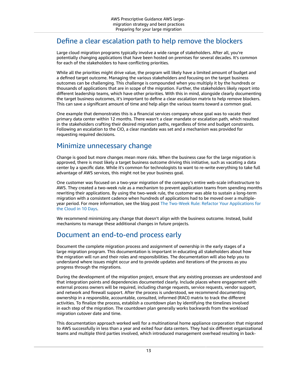#### <span id="page-15-0"></span>Define a clear escalation path to help remove the blockers

Large cloud migration programs typically involve a wide range of stakeholders. After all, you're potentially changing applications that have been hosted on premises for several decades. It's common for each of the stakeholders to have conflicting priorities.

While all the priorities might drive value, the program will likely have a limited amount of budget and a defined target outcome. Managing the various stakeholders and focusing on the target business outcomes can be challenging. This challenge is compounded when you multiply it by the hundreds or thousands of applications that are in scope of the migration. Further, the stakeholders likely report into different leadership teams, which have other priorities. With this in mind, alongside clearly documenting the target business outcomes, it's important to define a clear escalation matrix to help remove blockers. This can save a significant amount of time and help align the various teams toward a common goal.

One example that demonstrates this is a financial services company whose goal was to vacate their primary data center within 12 months. There wasn't a clear mandate or escalation path, which resulted in the stakeholders crafting their desired migration paths, regardless of time and budget constraints. Following an escalation to the CIO, a clear mandate was set and a mechanism was provided for requesting required decisions.

#### <span id="page-15-1"></span>Minimize unnecessary change

Change is good but more changes mean more risks. When the business case for the large migration is approved, there is most likely a target business outcome driving this initiative, such as vacating a data center by a specific date. While it's common for technologists to want to re-write everything to take full advantage of AWS services, this might not be your business goal.

One customer was focused on a two-year migration of the company's entire web-scale infrastructure to AWS. They created a two-week rule as a mechanism to prevent application teams from spending months rewriting their applications. By using the two-week rule, the customer was able to sustain a long-term migration with a consistent cadence when hundreds of applications had to be moved over a multipleyear period. For more information, see the blog post The Two-Week Rule: Refactor Your [Applications](http://aws.amazon.com/blogs/enterprise-strategy/the-two-week-rule-refactor-your-applications-for-the-cloud-in-10-days/) for the [Cloud](http://aws.amazon.com/blogs/enterprise-strategy/the-two-week-rule-refactor-your-applications-for-the-cloud-in-10-days/) in 10 Days.

We recommend minimizing any change that doesn't align with the business outcome. Instead, build mechanisms to manage these additional changes in future projects.

#### <span id="page-15-2"></span>Document an end-to-end process early

Document the complete migration process and assignment of ownership in the early stages of a large migration program. This documentation is important in educating all stakeholders about how the migration will run and their roles and responsibilities. The documentation will also help you to understand where issues might occur and to provide updates and iterations of the process as you progress through the migrations.

During the development of the migration project, ensure that any existing processes are understood and that integration points and dependencies documented clearly. Include places where engagement with external process owners will be required, including change requests, service requests, vendor support, and network and firewall support. After the process is understood, we recommend documenting ownership in a responsible, accountable, consulted, informed (RACI) matrix to track the different activities. To finalize the process, establish a countdown plan by identifying the timelines involved in each step of the migration. The countdown plan generally works backwards from the workload migration cutover date and time.

This documentation approach worked well for a multinational home appliance corporation that migrated to AWS successfully in less than a year and exited four data centers. They had six different organizational teams and multiple third parties involved, which introduced management overhead resulting in back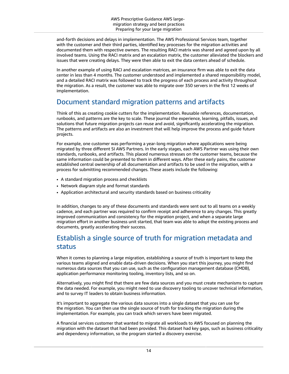and-forth decisions and delays in implementation. The AWS Professional Services team, together with the customer and their third parties, identified key processes for the migration activities and documented them with respective owners. The resulting RACI matrix was shared and agreed upon by all involved teams. Using the RACI matrix and an escalation matrix, the customer alleviated the blockers and issues that were creating delays. They were then able to exit the data centers ahead of schedule.

In another example of using RACI and escalation matrices, an insurance firm was able to exit the data center in less than 4 months. The customer understood and implemented a shared responsibility model, and a detailed RACI matrix was followed to track the progress of each process and activity throughout the migration. As a result, the customer was able to migrate over 350 servers in the first 12 weeks of implementation.

## <span id="page-16-0"></span>Document standard migration patterns and artifacts

Think of this as creating cookie cutters for the implementation. Reusable references, documentation, runbooks, and patterns are the key to scale. These journal the experience, learning, pitfalls, issues, and solutions that future migration projects can reuse and avoid, significantly accelerating the migration. The patterns and artifacts are also an investment that will help improve the process and guide future projects.

For example, one customer was performing a year-long migration where applications were being migrated by three different SI AWS Partners. In the early stages, each AWS Partner was using their own standards, runbooks, and artifacts. This placed numerous stresses on the customer teams, because the same information could be presented to them in different ways. After these early pains, the customer established central ownership of all documentation and artifacts to be used in the migration, with a process for submitting recommended changes. These assets include the following:

- A standard migration process and checklists
- Network diagram style and format standards
- Application architectural and security standards based on business criticality

In addition, changes to any of these documents and standards were sent out to all teams on a weekly cadence, and each partner was required to confirm receipt and adherence to any changes. This greatly improved communication and consistency for the migration project, and when a separate large migration effort in another business unit started, that team was able to adopt the existing process and documents, greatly accelerating their success.

## <span id="page-16-1"></span>Establish a single source of truth for migration metadata and status

When it comes to planning a large migration, establishing a source of truth is important to keep the various teams aligned and enable data-driven decisions. When you start this journey, you might find numerous data sources that you can use, such as the configuration management database (CMDB), application performance monitoring tooling, inventory lists, and so on.

Alternatively, you might find that there are few data sources and you must create mechanisms to capture the data needed. For example, you might need to use discovery tooling to uncover technical information, and to survey IT leaders to obtain business information.

It's important to aggregate the various data sources into a single dataset that you can use for the migration. You can then use the single source of truth for tracking the migration during the implementation. For example, you can track which servers have been migrated.

A financial services customer that wanted to migrate all workloads to AWS focused on planning the migration with the dataset that had been provided. This dataset had key gaps, such as business criticality and dependency information, so the program started a discovery exercise.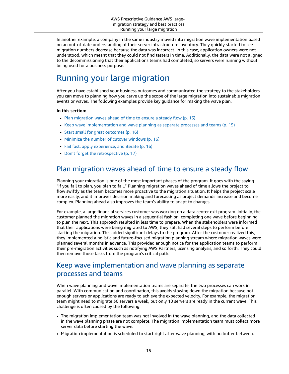In another example, a company in the same industry moved into migration wave implementation based on an out-of-date understanding of their server infrastructure inventory. They quickly started to see migration numbers decrease because the data was incorrect. In this case, application owners were not understood, which meant that they could not find testers in time. Additionally, the data were not aligned to the decommissioning that their applications teams had completed, so servers were running without being used for a business purpose.

## <span id="page-17-0"></span>Running your large migration

After you have established your business outcomes and communicated the strategy to the stakeholders, you can move to planning how you carve up the scope of the large migration into sustainable migration events or waves. The following examples provide key guidance for making the wave plan.

#### **In this section:**

- Plan migration waves ahead of time to ensure a steady [flow \(p. 15\)](#page-17-1)
- Keep wave [implementation](#page-17-2) and wave planning as separate processes and teams (p. 15)
- Start small for great [outcomes \(p. 16\)](#page-18-0)
- Minimize the number of cutover [windows \(p. 16\)](#page-18-1)
- Fail fast, apply experience, and [iterate \(p. 16\)](#page-18-2)
- Don't forget the [retrospective \(p. 17\)](#page-19-1)

#### <span id="page-17-1"></span>Plan migration waves ahead of time to ensure a steady flow

Planning your migration is one of the most important phases of the program. It goes with the saying "if you fail to plan, you plan to fail." Planning migration waves ahead of time allows the project to flow swiftly as the team becomes more proactive to the migration situation. It helps the project scale more easily, and it improves decision making and forecasting as project demands increase and become complex. Planning ahead also improves the team's ability to adapt to changes.

For example, a large financial services customer was working on a data center exit program. Initially, the customer planned the migration waves in a sequential fashion, completing one wave before beginning to plan the next. This approach resulted in less time to prepare. When the stakeholders were informed that their applications were being migrated to AWS, they still had several steps to perform before starting the migration. This added significant delays to the program. After the customer realized this, they implemented a holistic and future-focused migration planning stream where migration waves were planned several months in advance. This provided enough notice for the application teams to perform their pre-migration activities such as notifying AWS Partners, licensing analysis, and so forth. They could then remove those tasks from the program's critical path.

#### <span id="page-17-2"></span>Keep wave implementation and wave planning as separate processes and teams

When wave planning and wave implementation teams are separate, the two processes can work in parallel. With communication and coordination, this avoids slowing down the migration because not enough servers or applications are ready to achieve the expected velocity. For example, the migration team might need to migrate 30 servers a week, but only 10 servers are ready in the current wave. This challenge is often caused by the following:

- The migration implementation team was not involved in the wave planning, and the data collected in the wave planning phase are not complete. The migration implementation team must collect more server data before starting the wave.
- Migration implementation is scheduled to start right after wave planning, with no buffer between.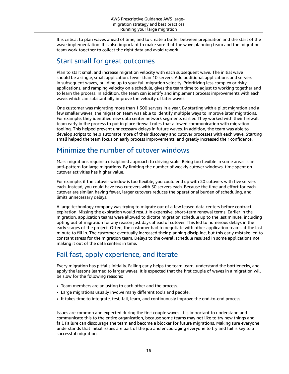It is critical to plan waves ahead of time, and to create a buffer between preparation and the start of the wave implementation. It is also important to make sure that the wave planning team and the migration team work together to collect the right data and avoid rework.

#### <span id="page-18-0"></span>Start small for great outcomes

Plan to start small and increase migration velocity with each subsequent wave. The initial wave should be a single, small application, fewer than 10 servers. Add additional applications and servers in subsequent waves, building up to your full migration velocity. Prioritizing less complex or risky applications, and ramping velocity on a schedule, gives the team time to adjust to working together and to learn the process. In addition, the team can identify and implement process improvements with each wave, which can substantially improve the velocity of later waves.

One customer was migrating more than 1,300 servers in a year. By starting with a pilot migration and a few smaller waves, the migration team was able to identify multiple ways to improve later migrations. For example, they identified new data center network segments earlier. They worked with their firewall team early in the process to put in place firewall rules that allowed communication with migration tooling. This helped prevent unnecessary delays in future waves. In addition, the team was able to develop scripts to help automate more of their discovery and cutover processes with each wave. Starting small helped the team focus on early process improvements, and greatly increased their confidence.

### <span id="page-18-1"></span>Minimize the number of cutover windows

Mass migrations require a disciplined approach to driving scale. Being too flexible in some areas is an anti-pattern for large migrations. By limiting the number of weekly cutover windows, time spent on cutover activities has higher value.

For example, if the cutover window is too flexible, you could end up with 20 cutovers with five servers each. Instead, you could have two cutovers with 50 servers each. Because the time and effort for each cutover are similar, having fewer, larger cutovers reduces the operational burden of scheduling, and limits unnecessary delays.

A large technology company was trying to migrate out of a few leased data centers before contract expiration. Missing the expiration would result in expensive, short-term renewal terms. Earlier in the migration, application teams were allowed to dictate migration schedule up to the last minute, including opting out of migration for any reason just days ahead of cutover. This led to numerous delays in the early stages of the project. Often, the customer had to negotiate with other application teams at the last minute to fill in. The customer eventually increased their planning discipline, but this early mistake led to constant stress for the migration team. Delays to the overall schedule resulted in some applications not making it out of the data centers in time.

## <span id="page-18-2"></span>Fail fast, apply experience, and iterate

Every migration has pitfalls initially. Failing early helps the team learn, understand the bottlenecks, and apply the lessons learned to larger waves. It is expected that the first couple of waves in a migration will be slow for the following reasons:

- Team members are adjusting to each other and the process.
- Large migrations usually involve many different tools and people.
- It takes time to integrate, test, fail, learn, and continuously improve the end-to-end process.

Issues are common and expected during the first couple waves. It is important to understand and communicate this to the entire organization, because some teams may not like to try new things and fail. Failure can discourage the team and become a blocker for future migrations. Making sure everyone understands that initial issues are part of the job and encouraging everyone to try and fail is key to a successful migration.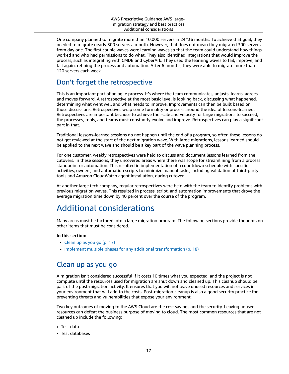One company planned to migrate more than 10,000 servers in 24#36 months. To achieve that goal, they needed to migrate nearly 300 servers a month. However, that does not mean they migrated 300 servers from day one. The first couple waves were learning waves so that the team could understand how things worked and who had permissions to do what. They also identified integrations that would improve the process, such as integrating with CMDB and CyberArk. They used the learning waves to fail, improve, and fail again, refining the process and automation. After 6 months, they were able to migrate more than 120 servers each week.

## <span id="page-19-1"></span>Don't forget the retrospective

This is an important part of an agile process. It's where the team communicates, adjusts, learns, agrees, and moves forward. A retrospective at the most basic level is looking back, discussing what happened, determining what went well and what needs to improve. Improvements can then be built based on those discussions. Retrospectives wrap some formality or process around the idea of lessons-learned. Retrospectives are important because to achieve the scale and velocity for large migrations to succeed, the processes, tools, and teams must constantly evolve and improve. Retrospectives can play a significant part in that.

Traditional lessons-learned sessions do not happen until the end of a program, so often these lessons do not get reviewed at the start of the next migration wave. With large migrations, lessons learned should be applied to the next wave and should be a key part of the wave planning process.

For one customer, weekly retrospectives were held to discuss and document lessons learned from the cutovers. In these sessions, they uncovered areas where there was scope for streamlining from a process standpoint or automation. This resulted in implementation of a countdown schedule with specific activities, owners, and automation scripts to minimize manual tasks, including validation of third-party tools and Amazon CloudWatch agent installation, during cutover.

At another large tech company, regular retrospectives were held with the team to identify problems with previous migration waves. This resulted in process, script, and automation improvements that drove the average migration time down by 40 percent over the course of the program.

## <span id="page-19-0"></span>Additional considerations

Many areas must be factored into a large migration program. The following sections provide thoughts on other items that must be considered.

#### **In this section:**

- Clean up as you [go \(p. 17\)](#page-19-2)
- Implement multiple phases for any additional [transformation \(p. 18\)](#page-20-0)

### <span id="page-19-2"></span>Clean up as you go

A migration isn't considered successful if it costs 10 times what you expected, and the project is not complete until the resources used for migration are shut down and cleaned up. This cleanup should be part of the post-migration activity. It ensures that you will not leave unused resources and services in your environment that will add to the costs. Post-migration cleanup is also a good security practice for preventing threats and vulnerabilities that expose your environment.

Two key outcomes of moving to the AWS Cloud are the cost savings and the security. Leaving unused resources can defeat the business purpose of moving to cloud. The most common resources that are not cleaned up include the following:

- Test data
- Test databases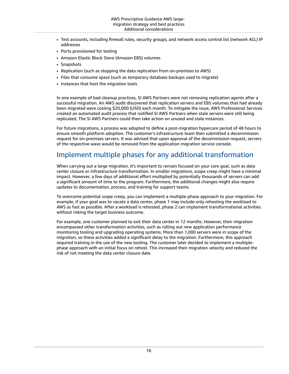- Test accounts, including firewall rules, security groups, and network access control list (network ACL) IP addresses
- Ports provisioned for testing
- Amazon Elastic Block Store (Amazon EBS) volumes
- Snapshots
- Replication (such as stopping the data replication from on-premises to AWS)
- Files that consume space (such as temporary database backups used to migrate)
- Instances that host the migration tools

In one example of bad cleanup practices, SI AWS Partners were not removing replication agents after a successful migration. An AWS audit discovered that replication servers and EBS volumes that had already been migrated were costing \$20,000 (USD) each month. To mitigate the issue, AWS Professional Services created an automated audit process that notified SI AWS Partners when stale servers were still being replicated. The SI AWS Partners could then take action on unused and stale instances.

For future migrations, a process was adopted to define a post-migration hypercare period of 48 hours to ensure smooth platform adoption. The customer's infrastructure team then submitted a decommission request for on-premises servers. It was advised that upon approval of the decommission request, servers of the respective wave would be removed from the application migration service console.

### <span id="page-20-0"></span>Implement multiple phases for any additional transformation

When carrying out a large migration, it's important to remain focused on your core goal, such as data center closure or infrastructure transformation. In smaller migrations, scope creep might have a minimal impact. However, a few days of additional effort multiplied by potentially thousands of servers can add a significant amount of time to the program. Furthermore, the additional changes might also require updates to documentation, process, and training for support teams.

To overcome potential scope creep, you can implement a multiple-phase approach to your migration. For example, if your goal was to vacate a data center, phase 1 may include only rehosting the workload to AWS as fast as possible. After a workload is rehosted, phase 2 can implement transformational activities without risking the target business outcome.

For example, one customer planned to exit their data center in 12 months. However, their migration encompassed other transformation activities, such as rolling out new application performance monitoring tooling and upgrading operating systems. More than 1,000 servers were in scope of the migration, so these activities added a significant delay to the migration. Furthermore, this approach required training in the use of the new tooling. The customer later decided to implement a multiplephase approach with an initial focus on rehost. This increased their migration velocity and reduced the risk of not meeting the data center closure date.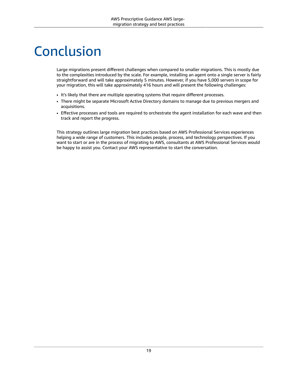# <span id="page-21-0"></span>**Conclusion**

Large migrations present different challenges when compared to smaller migrations. This is mostly due to the complexities introduced by the scale. For example, installing an agent onto a single server is fairly straightforward and will take approximately 5 minutes. However, if you have 5,000 servers in scope for your migration, this will take approximately 416 hours and will present the following challenges:

- It's likely that there are multiple operating systems that require different processes.
- There might be separate Microsoft Active Directory domains to manage due to previous mergers and acquisitions.
- Effective processes and tools are required to orchestrate the agent installation for each wave and then track and report the progress.

This strategy outlines large migration best practices based on AWS Professional Services experiences helping a wide range of customers. This includes people, process, and technology perspectives. If you want to start or are in the process of migrating to AWS, consultants at AWS Professional Services would be happy to assist you. Contact your AWS representative to start the conversation.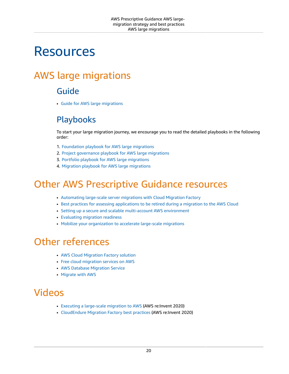# <span id="page-22-0"></span>Resources

## <span id="page-22-2"></span><span id="page-22-1"></span>AWS large migrations

## Guide

• Guide for AWS large [migrations](https://docs.aws.amazon.com/prescriptive-guidance/latest/large-migration-guide/welcome.html)

## <span id="page-22-3"></span>Playbooks

To start your large migration journey, we encourage you to read the detailed playbooks in the following order:

- 1. [Foundation](https://docs.aws.amazon.com/prescriptive-guidance/latest/large-migration-foundation-playbook/welcome.html) playbook for AWS large migrations
- 2. Project [governance](https://docs.aws.amazon.com/prescriptive-guidance/latest/large-migration-governance-playbook/welcome.html) playbook for AWS large migrations
- 3. Portfolio playbook for AWS large [migrations](https://docs.aws.amazon.com/prescriptive-guidance/latest/large-migration-portfolio-playbook/welcome.html)
- 4. Migration playbook for AWS large [migrations](https://docs.aws.amazon.com/prescriptive-guidance/latest/large-migration-migration-playbook/welcome.html)

## <span id="page-22-4"></span>Other AWS Prescriptive Guidance resources

- [Automating](https://docs.aws.amazon.com/prescriptive-guidance/latest/migration-factory-cloudendure/welcome.html) large-scale server migrations with Cloud Migration Factory
- Best practices for assessing [applications](https://docs.aws.amazon.com/prescriptive-guidance/latest/migration-retiring-applications/welcome.html) to be retired during a migration to the AWS Cloud
- Setting up a secure and scalable [multi-account](https://docs.aws.amazon.com/prescriptive-guidance/latest/migration-aws-environment/welcome.html) AWS environment
- [Evaluating](https://docs.aws.amazon.com/prescriptive-guidance/latest/migration-readiness/welcome.html) migration readiness
- Mobilize your [organization](https://docs.aws.amazon.com/prescriptive-guidance/latest/strategy-migration/welcome.html) to accelerate large-scale migrations

## <span id="page-22-5"></span>Other references

- AWS Cloud [Migration](http://aws.amazon.com/solutions/implementations/aws-cloudendure-migration-factory-solution/) Factory solution
- Free cloud [migration](http://aws.amazon.com/free/migration/) services on AWS
- AWS Database [Migration](http://aws.amazon.com/dms/) Service
- [Migrate](http://aws.amazon.com/cloud-migration/) with AWS

## <span id="page-22-6"></span>Videos

- Executing a [large-scale](https://www.youtube.com/watch?v=adRag6vEy8w) migration to AWS (AWS re:Invent 2020)
- [CloudEndure](https://www.youtube.com/watch?v=is7cOcNUHlw) Migration Factory best practices (AWS re:Invent 2020)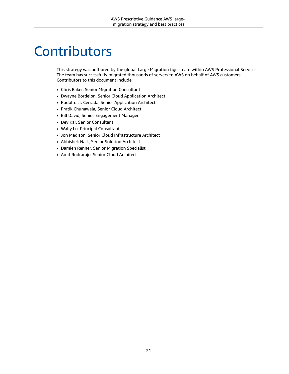# <span id="page-23-0"></span>**Contributors**

This strategy was authored by the global Large Migration tiger team within AWS Professional Services. The team has successfully migrated thousands of servers to AWS on behalf of AWS customers. Contributors to this document include:

- Chris Baker, Senior Migration Consultant
- Dwayne Bordelon, Senior Cloud Application Architect
- Rodolfo Jr. Cerrada, Senior Application Architect
- Pratik Chunawala, Senior Cloud Architect
- Bill David, Senior Engagement Manager
- Dev Kar, Senior Consultant
- Wally Lu, Principal Consultant
- Jon Madison, Senior Cloud Infrastructure Architect
- Abhishek Naik, Senior Solution Architect
- Damien Renner, Senior Migration Specialist
- Amit Rudraraju, Senior Cloud Architect